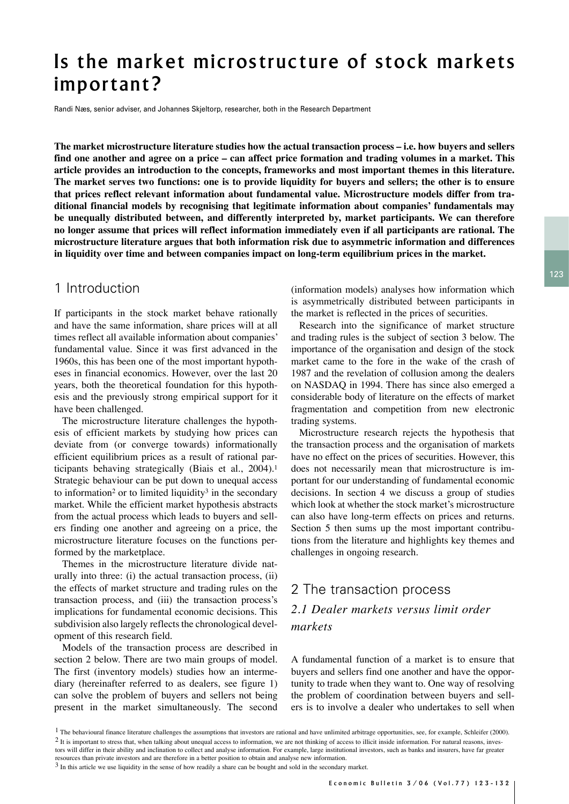# Is the market microstructure of stock markets important?

Randi Næs, senior adviser, and Johannes Skjeltorp, researcher, both in the Research Department

**The market microstructure literature studies how the actual transaction process – i.e. how buyers and sellers find one another and agree on a price – can affect price formation and trading volumes in a market. This article provides an introduction to the concepts, frameworks and most important themes in this literature. The market serves two functions: one is to provide liquidity for buyers and sellers; the other is to ensure that prices reflect relevant information about fundamental value. Microstructure models differ from traditional financial models by recognising that legitimate information about companies' fundamentals may be unequally distributed between, and differently interpreted by, market participants. We can therefore no longer assume that prices will reflect information immediately even if all participants are rational. The microstructure literature argues that both information risk due to asymmetric information and differences in liquidity over time and between companies impact on long-term equilibrium prices in the market.**

# 1 Introduction

If participants in the stock market behave rationally and have the same information, share prices will at all times reflect all available information about companies' fundamental value. Since it was first advanced in the 1960s, this has been one of the most important hypotheses in financial economics. However, over the last 20 years, both the theoretical foundation for this hypothesis and the previously strong empirical support for it have been challenged.

The microstructure literature challenges the hypothesis of efficient markets by studying how prices can deviate from (or converge towards) informationally efficient equilibrium prices as a result of rational participants behaving strategically (Biais et al., 2004).1 Strategic behaviour can be put down to unequal access to information<sup>2</sup> or to limited liquidity<sup>3</sup> in the secondary market. While the efficient market hypothesis abstracts from the actual process which leads to buyers and sellers finding one another and agreeing on a price, the microstructure literature focuses on the functions performed by the marketplace.

Themes in the microstructure literature divide naturally into three: (i) the actual transaction process, (ii) the effects of market structure and trading rules on the transaction process, and (iii) the transaction process's implications for fundamental economic decisions. This subdivision also largely reflects the chronological development of this research field.

Models of the transaction process are described in section 2 below. There are two main groups of model. The first (inventory models) studies how an intermediary (hereinafter referred to as dealers, see figure 1) can solve the problem of buyers and sellers not being present in the market simultaneously. The second

(information models) analyses how information which is asymmetrically distributed between participants in the market is reflected in the prices of securities.

Research into the significance of market structure and trading rules is the subject of section 3 below. The importance of the organisation and design of the stock market came to the fore in the wake of the crash of 1987 and the revelation of collusion among the dealers on NASDAQ in 1994. There has since also emerged a considerable body of literature on the effects of market fragmentation and competition from new electronic trading systems.

Microstructure research rejects the hypothesis that the transaction process and the organisation of markets have no effect on the prices of securities. However, this does not necessarily mean that microstructure is important for our understanding of fundamental economic decisions. In section 4 we discuss a group of studies which look at whether the stock market's microstructure can also have long-term effects on prices and returns. Section 5 then sums up the most important contributions from the literature and highlights key themes and challenges in ongoing research.

# 2 The transaction process *2.1 Dealer markets versus limit order markets*

A fundamental function of a market is to ensure that buyers and sellers find one another and have the opportunity to trade when they want to. One way of resolving the problem of coordination between buyers and sellers is to involve a dealer who undertakes to sell when

<sup>&</sup>lt;sup>1</sup> The behavioural finance literature challenges the assumptions that investors are rational and have unlimited arbitrage opportunities, see, for example, Schleifer (2000). <sup>2</sup> It is important to stress that, when talking about unequal access to information, we are not thinking of access to illicit inside information. For natural reasons, investors will differ in their ability and inclination to collect and analyse information. For example, large institutional investors, such as banks and insurers, have far greater resources than private investors and are therefore in a better position to obtain and analyse new information.

<sup>&</sup>lt;sup>3</sup> In this article we use liquidity in the sense of how readily a share can be bought and sold in the secondary market.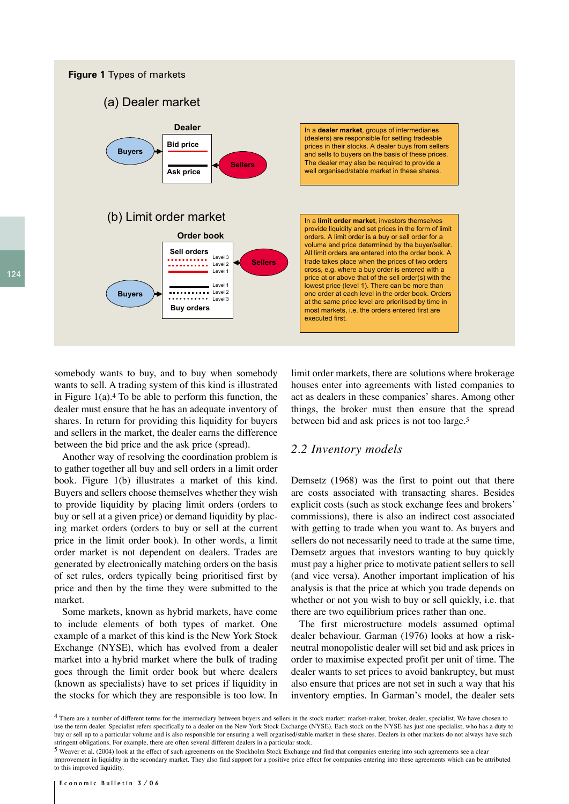

somebody wants to buy, and to buy when somebody wants to sell. A trading system of this kind is illustrated in Figure  $1(a)$ .<sup>4</sup> To be able to perform this function, the dealer must ensure that he has an adequate inventory of shares. In return for providing this liquidity for buyers and sellers in the market, the dealer earns the difference between the bid price and the ask price (spread).

Another way of resolving the coordination problem is to gather together all buy and sell orders in a limit order book. Figure 1(b) illustrates a market of this kind. Buyers and sellers choose themselves whether they wish to provide liquidity by placing limit orders (orders to buy or sell at a given price) or demand liquidity by placing market orders (orders to buy or sell at the current price in the limit order book). In other words, a limit order market is not dependent on dealers. Trades are generated by electronically matching orders on the basis of set rules, orders typically being prioritised first by price and then by the time they were submitted to the market.

Some markets, known as hybrid markets, have come to include elements of both types of market. One example of a market of this kind is the New York Stock Exchange (NYSE), which has evolved from a dealer market into a hybrid market where the bulk of trading goes through the limit order book but where dealers (known as specialists) have to set prices if liquidity in the stocks for which they are responsible is too low. In

limit order markets, there are solutions where brokerage houses enter into agreements with listed companies to act as dealers in these companies' shares. Among other things, the broker must then ensure that the spread between bid and ask prices is not too large.5

#### *2.2 Inventory models*

Demsetz (1968) was the first to point out that there are costs associated with transacting shares. Besides explicit costs (such as stock exchange fees and brokers' commissions), there is also an indirect cost associated with getting to trade when you want to. As buyers and sellers do not necessarily need to trade at the same time, Demsetz argues that investors wanting to buy quickly must pay a higher price to motivate patient sellers to sell (and vice versa). Another important implication of his analysis is that the price at which you trade depends on whether or not you wish to buy or sell quickly, i.e. that there are two equilibrium prices rather than one.

The first microstructure models assumed optimal dealer behaviour. Garman (1976) looks at how a riskneutral monopolistic dealer will set bid and ask prices in order to maximise expected profit per unit of time. The dealer wants to set prices to avoid bankruptcy, but must also ensure that prices are not set in such a way that his inventory empties. In Garman's model, the dealer sets

<sup>4</sup> There are a number of different terms for the intermediary between buyers and sellers in the stock market: market-maker, broker, dealer, specialist. We have chosen to use the term dealer. Specialist refers specifically to a dealer on the New York Stock Exchange (NYSE). Each stock on the NYSE has just one specialist, who has a duty to buy or sell up to a particular volume and is also responsible for ensuring a well organised/stable market in these shares. Dealers in other markets do not always have such stringent obligations. For example, there are often several different dealers in a particular stock.

<sup>5</sup> Weaver et al. (2004) look at the effect of such agreements on the Stockholm Stock Exchange and find that companies entering into such agreements see a clear improvement in liquidity in the secondary market. They also find support for a positive price effect for companies entering into these agreements which can be attributed to this improved liquidity.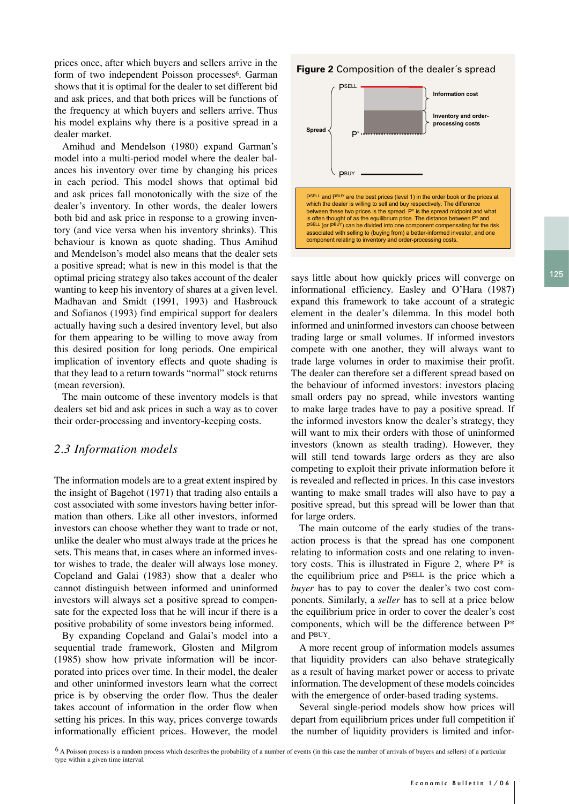prices once, after which buyers and sellers arrive in the form of two independent Poisson processes<sup>6</sup>. Garman shows that it is optimal for the dealer to set different bid and ask prices, and that both prices will be functions of the frequency at which buyers and sellers arrive. Thus his model explains why there is a positive spread in a dealer market.

Amihud and Mendelson (1980) expand Garman's model into a multi-period model where the dealer balances his inventory over time by changing his prices in each period. This model shows that optimal bid and ask prices fall monotonically with the size of the dealer's inventory. In other words, the dealer lowers both bid and ask price in response to a growing inventory (and vice versa when his inventory shrinks). This behaviour is known as quote shading. Thus Amihud and Mendelson's model also means that the dealer sets a positive spread; what is new in this model is that the optimal pricing strategy also takes account of the dealer wanting to keep his inventory of shares at a given level. Madhavan and Smidt (1991, 1993) and Hasbrouck and Sofianos (1993) find empirical support for dealers actually having such a desired inventory level, but also for them appearing to be willing to move away from this desired position for long periods. One empirical implication of inventory effects and quote shading is that they lead to a return towards "normal" stock returns (mean reversion).

The main outcome of these inventory models is that dealers set bid and ask prices in such a way as to cover their order-processing and inventory-keeping costs.

#### *2.3 Information models*

The information models are to a great extent inspired by the insight of Bagehot (1971) that trading also entails a cost associated with some investors having better information than others. Like all other investors, informed investors can choose whether they want to trade or not, unlike the dealer who must always trade at the prices he sets. This means that, in cases where an informed investor wishes to trade, the dealer will always lose money. Copeland and Galai (1983) show that a dealer who cannot distinguish between informed and uninformed investors will always set a positive spread to compensate for the expected loss that he will incur if there is a positive probability of some investors being informed.

By expanding Copeland and Galai's model into a sequential trade framework, Glosten and Milgrom (1985) show how private information will be incorporated into prices over time. In their model, the dealer and other uninformed investors learn what the correct price is by observing the order flow. Thus the dealer takes account of information in the order flow when setting his prices. In this way, prices converge towards informationally efficient prices. However, the model

#### **Figure 2** Composition of the dealer´s spread



says little about how quickly prices will converge on informational efficiency. Easley and O'Hara (1987) expand this framework to take account of a strategic element in the dealer's dilemma. In this model both informed and uninformed investors can choose between trading large or small volumes. If informed investors compete with one another, they will always want to trade large volumes in order to maximise their profit. The dealer can therefore set a different spread based on the behaviour of informed investors: investors placing small orders pay no spread, while investors wanting to make large trades have to pay a positive spread. If the informed investors know the dealer's strategy, they will want to mix their orders with those of uninformed investors (known as stealth trading). However, they will still tend towards large orders as they are also competing to exploit their private information before it is revealed and reflected in prices. In this case investors wanting to make small trades will also have to pay a positive spread, but this spread will be lower than that for large orders.

The main outcome of the early studies of the transaction process is that the spread has one component relating to information costs and one relating to inventory costs. This is illustrated in Figure 2, where  $P^*$  is the equilibrium price and PSELL is the price which a *buyer* has to pay to cover the dealer's two cost components. Similarly, a *seller* has to sell at a price below the equilibrium price in order to cover the dealer's cost components, which will be the difference between P\* and PBUY.

A more recent group of information models assumes that liquidity providers can also behave strategically as a result of having market power or access to private information. The development of these models coincides with the emergence of order-based trading systems.

Several single-period models show how prices will depart from equilibrium prices under full competition if the number of liquidity providers is limited and infor-

6 A Poisson process is a random process which describes the probability of a number of events (in this case the number of arrivals of buyers and sellers) of a particular type within a given time interval.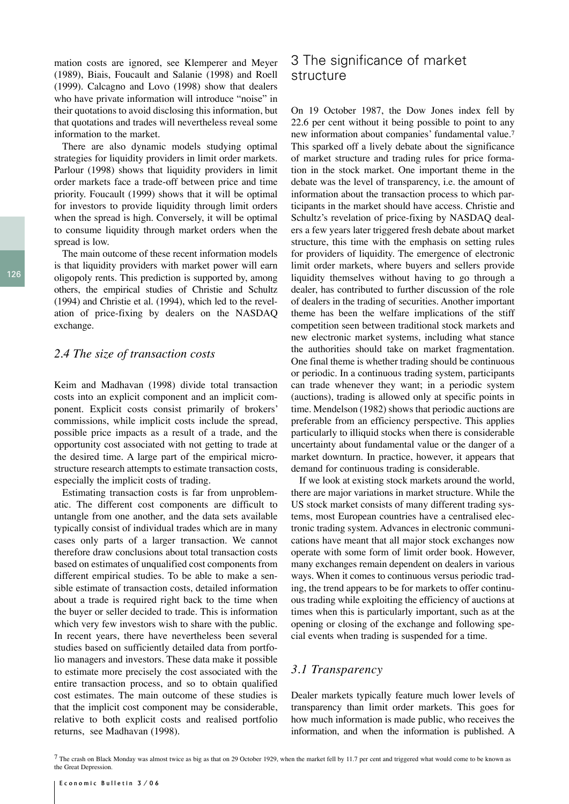mation costs are ignored, see Klemperer and Meyer (1989), Biais, Foucault and Salanie (1998) and Roell (1999). Calcagno and Lovo (1998) show that dealers who have private information will introduce "noise" in their quotations to avoid disclosing this information, but that quotations and trades will nevertheless reveal some information to the market.

There are also dynamic models studying optimal strategies for liquidity providers in limit order markets. Parlour (1998) shows that liquidity providers in limit order markets face a trade-off between price and time priority. Foucault (1999) shows that it will be optimal for investors to provide liquidity through limit orders when the spread is high. Conversely, it will be optimal to consume liquidity through market orders when the spread is low.

The main outcome of these recent information models is that liquidity providers with market power will earn oligopoly rents. This prediction is supported by, among others, the empirical studies of Christie and Schultz (1994) and Christie et al. (1994), which led to the revelation of price-fixing by dealers on the NASDAQ exchange.

#### *2.4 The size of transaction costs*

Keim and Madhavan (1998) divide total transaction costs into an explicit component and an implicit component. Explicit costs consist primarily of brokers' commissions, while implicit costs include the spread, possible price impacts as a result of a trade, and the opportunity cost associated with not getting to trade at the desired time. A large part of the empirical microstructure research attempts to estimate transaction costs, especially the implicit costs of trading.

Estimating transaction costs is far from unproblematic. The different cost components are difficult to untangle from one another, and the data sets available typically consist of individual trades which are in many cases only parts of a larger transaction. We cannot therefore draw conclusions about total transaction costs based on estimates of unqualified cost components from different empirical studies. To be able to make a sensible estimate of transaction costs, detailed information about a trade is required right back to the time when the buyer or seller decided to trade. This is information which very few investors wish to share with the public. In recent years, there have nevertheless been several studies based on sufficiently detailed data from portfolio managers and investors. These data make it possible to estimate more precisely the cost associated with the entire transaction process, and so to obtain qualified cost estimates. The main outcome of these studies is that the implicit cost component may be considerable, relative to both explicit costs and realised portfolio returns, see Madhavan (1998).

# 3 The significance of market structure

On 19 October 1987, the Dow Jones index fell by 22.6 per cent without it being possible to point to any new information about companies' fundamental value.7 This sparked off a lively debate about the significance of market structure and trading rules for price formation in the stock market. One important theme in the debate was the level of transparency, i.e. the amount of information about the transaction process to which participants in the market should have access. Christie and Schultz's revelation of price-fixing by NASDAQ dealers a few years later triggered fresh debate about market structure, this time with the emphasis on setting rules for providers of liquidity. The emergence of electronic limit order markets, where buyers and sellers provide liquidity themselves without having to go through a dealer, has contributed to further discussion of the role of dealers in the trading of securities. Another important theme has been the welfare implications of the stiff competition seen between traditional stock markets and new electronic market systems, including what stance the authorities should take on market fragmentation. One final theme is whether trading should be continuous or periodic. In a continuous trading system, participants can trade whenever they want; in a periodic system (auctions), trading is allowed only at specific points in time. Mendelson (1982) shows that periodic auctions are preferable from an efficiency perspective. This applies particularly to illiquid stocks when there is considerable uncertainty about fundamental value or the danger of a market downturn. In practice, however, it appears that demand for continuous trading is considerable.

If we look at existing stock markets around the world, there are major variations in market structure. While the US stock market consists of many different trading systems, most European countries have a centralised electronic trading system. Advances in electronic communications have meant that all major stock exchanges now operate with some form of limit order book. However, many exchanges remain dependent on dealers in various ways. When it comes to continuous versus periodic trading, the trend appears to be for markets to offer continuous trading while exploiting the efficiency of auctions at times when this is particularly important, such as at the opening or closing of the exchange and following special events when trading is suspended for a time.

#### *3.1 Transparency*

Dealer markets typically feature much lower levels of transparency than limit order markets. This goes for how much information is made public, who receives the information, and when the information is published. A

 $7$  The crash on Black Monday was almost twice as big as that on 29 October 1929, when the market fell by 11.7 per cent and triggered what would come to be known as the Great Depression.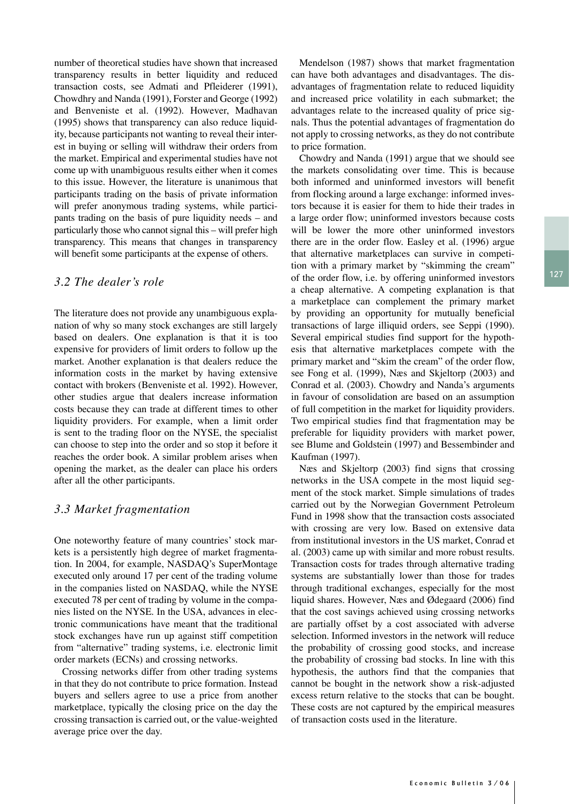127

number of theoretical studies have shown that increased transparency results in better liquidity and reduced transaction costs, see Admati and Pfleiderer (1991), Chowdhry and Nanda (1991), Forster and George (1992) and Benveniste et al. (1992). However, Madhavan (1995) shows that transparency can also reduce liquidity, because participants not wanting to reveal their interest in buying or selling will withdraw their orders from the market. Empirical and experimental studies have not come up with unambiguous results either when it comes to this issue. However, the literature is unanimous that participants trading on the basis of private information will prefer anonymous trading systems, while participants trading on the basis of pure liquidity needs – and particularly those who cannot signal this – will prefer high transparency. This means that changes in transparency will benefit some participants at the expense of others.

#### *3.2 The dealer's role*

The literature does not provide any unambiguous explanation of why so many stock exchanges are still largely based on dealers. One explanation is that it is too expensive for providers of limit orders to follow up the market. Another explanation is that dealers reduce the information costs in the market by having extensive contact with brokers (Benveniste et al. 1992). However, other studies argue that dealers increase information costs because they can trade at different times to other liquidity providers. For example, when a limit order is sent to the trading floor on the NYSE, the specialist can choose to step into the order and so stop it before it reaches the order book. A similar problem arises when opening the market, as the dealer can place his orders after all the other participants.

#### *3.3 Market fragmentation*

One noteworthy feature of many countries' stock markets is a persistently high degree of market fragmentation. In 2004, for example, NASDAQ's SuperMontage executed only around 17 per cent of the trading volume in the companies listed on NASDAQ, while the NYSE executed 78 per cent of trading by volume in the companies listed on the NYSE. In the USA, advances in electronic communications have meant that the traditional stock exchanges have run up against stiff competition from "alternative" trading systems, i.e. electronic limit order markets (ECNs) and crossing networks.

Crossing networks differ from other trading systems in that they do not contribute to price formation. Instead buyers and sellers agree to use a price from another marketplace, typically the closing price on the day the crossing transaction is carried out, or the value-weighted average price over the day.

Mendelson (1987) shows that market fragmentation can have both advantages and disadvantages. The disadvantages of fragmentation relate to reduced liquidity and increased price volatility in each submarket; the advantages relate to the increased quality of price signals. Thus the potential advantages of fragmentation do not apply to crossing networks, as they do not contribute to price formation.

Chowdry and Nanda (1991) argue that we should see the markets consolidating over time. This is because both informed and uninformed investors will benefit from flocking around a large exchange: informed investors because it is easier for them to hide their trades in a large order flow; uninformed investors because costs will be lower the more other uninformed investors there are in the order flow. Easley et al. (1996) argue that alternative marketplaces can survive in competition with a primary market by "skimming the cream" of the order flow, i.e. by offering uninformed investors a cheap alternative. A competing explanation is that a marketplace can complement the primary market by providing an opportunity for mutually beneficial transactions of large illiquid orders, see Seppi (1990). Several empirical studies find support for the hypothesis that alternative marketplaces compete with the primary market and "skim the cream" of the order flow, see Fong et al. (1999), Næs and Skjeltorp (2003) and Conrad et al. (2003). Chowdry and Nanda's arguments in favour of consolidation are based on an assumption of full competition in the market for liquidity providers. Two empirical studies find that fragmentation may be preferable for liquidity providers with market power, see Blume and Goldstein (1997) and Bessembinder and Kaufman (1997).

Næs and Skjeltorp (2003) find signs that crossing networks in the USA compete in the most liquid segment of the stock market. Simple simulations of trades carried out by the Norwegian Government Petroleum Fund in 1998 show that the transaction costs associated with crossing are very low. Based on extensive data from institutional investors in the US market, Conrad et al. (2003) came up with similar and more robust results. Transaction costs for trades through alternative trading systems are substantially lower than those for trades through traditional exchanges, especially for the most liquid shares. However, Næs and Ødegaard (2006) find that the cost savings achieved using crossing networks are partially offset by a cost associated with adverse selection. Informed investors in the network will reduce the probability of crossing good stocks, and increase the probability of crossing bad stocks. In line with this hypothesis, the authors find that the companies that cannot be bought in the network show a risk-adjusted excess return relative to the stocks that can be bought. These costs are not captured by the empirical measures of transaction costs used in the literature.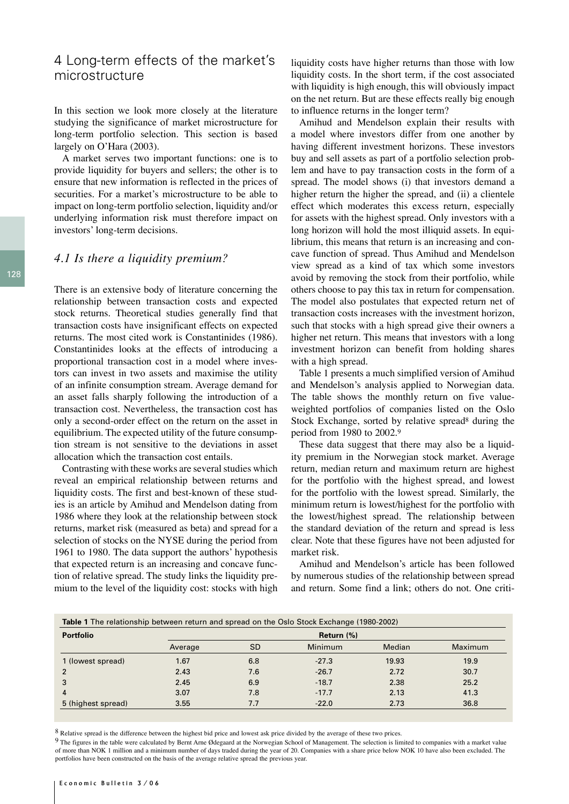# 4 Long-term effects of the market's microstructure

In this section we look more closely at the literature studying the significance of market microstructure for long-term portfolio selection. This section is based largely on O'Hara (2003).

A market serves two important functions: one is to provide liquidity for buyers and sellers; the other is to ensure that new information is reflected in the prices of securities. For a market's microstructure to be able to impact on long-term portfolio selection, liquidity and/or underlying information risk must therefore impact on investors' long-term decisions.

#### *4.1 Is there a liquidity premium?*

There is an extensive body of literature concerning the relationship between transaction costs and expected stock returns. Theoretical studies generally find that transaction costs have insignificant effects on expected returns. The most cited work is Constantinides (1986). Constantinides looks at the effects of introducing a proportional transaction cost in a model where investors can invest in two assets and maximise the utility of an infinite consumption stream. Average demand for an asset falls sharply following the introduction of a transaction cost. Nevertheless, the transaction cost has only a second-order effect on the return on the asset in equilibrium. The expected utility of the future consumption stream is not sensitive to the deviations in asset allocation which the transaction cost entails.

Contrasting with these works are several studies which reveal an empirical relationship between returns and liquidity costs. The first and best-known of these studies is an article by Amihud and Mendelson dating from 1986 where they look at the relationship between stock returns, market risk (measured as beta) and spread for a selection of stocks on the NYSE during the period from 1961 to 1980. The data support the authors' hypothesis that expected return is an increasing and concave function of relative spread. The study links the liquidity premium to the level of the liquidity cost: stocks with high

liquidity costs have higher returns than those with low liquidity costs. In the short term, if the cost associated with liquidity is high enough, this will obviously impact on the net return. But are these effects really big enough to influence returns in the longer term?

Amihud and Mendelson explain their results with a model where investors differ from one another by having different investment horizons. These investors buy and sell assets as part of a portfolio selection problem and have to pay transaction costs in the form of a spread. The model shows (i) that investors demand a higher return the higher the spread, and (ii) a clientele effect which moderates this excess return, especially for assets with the highest spread. Only investors with a long horizon will hold the most illiquid assets. In equilibrium, this means that return is an increasing and concave function of spread. Thus Amihud and Mendelson view spread as a kind of tax which some investors avoid by removing the stock from their portfolio, while others choose to pay this tax in return for compensation. The model also postulates that expected return net of transaction costs increases with the investment horizon, such that stocks with a high spread give their owners a higher net return. This means that investors with a long investment horizon can benefit from holding shares with a high spread.

Table 1 presents a much simplified version of Amihud and Mendelson's analysis applied to Norwegian data. The table shows the monthly return on five valueweighted portfolios of companies listed on the Oslo Stock Exchange, sorted by relative spread<sup>8</sup> during the period from 1980 to 2002.9

These data suggest that there may also be a liquidity premium in the Norwegian stock market. Average return, median return and maximum return are highest for the portfolio with the highest spread, and lowest for the portfolio with the lowest spread. Similarly, the minimum return is lowest/highest for the portfolio with the lowest/highest spread. The relationship between the standard deviation of the return and spread is less clear. Note that these figures have not been adjusted for market risk.

Amihud and Mendelson's article has been followed by numerous studies of the relationship between spread and return. Some find a link; others do not. One criti-

| <b>Portfolio</b>   | Return (%) |           |         |               |         |
|--------------------|------------|-----------|---------|---------------|---------|
|                    | Average    | <b>SD</b> | Minimum | <b>Median</b> | Maximum |
| 1 (lowest spread)  | 1.67       | 6.8       | $-27.3$ | 19.93         | 19.9    |
| $\overline{2}$     | 2.43       | 7.6       | $-26.7$ | 2.72          | 30.7    |
| 3                  | 2.45       | 6.9       | $-18.7$ | 2.38          | 25.2    |
| 4                  | 3.07       | 7.8       | $-17.7$ | 2.13          | 41.3    |
| 5 (highest spread) | 3.55       | 7.7       | $-22.0$ | 2.73          | 36.8    |

<sup>8</sup> Relative spread is the difference between the highest bid price and lowest ask price divided by the average of these two prices.

<sup>9</sup> The figures in the table were calculated by Bernt Arne Ødegaard at the Norwegian School of Management. The selection is limited to companies with a market value of more than NOK 1 million and a minimum number of days traded during the year of 20. Companies with a share price below NOK 10 have also been excluded. The portfolios have been constructed on the basis of the average relative spread the previous year.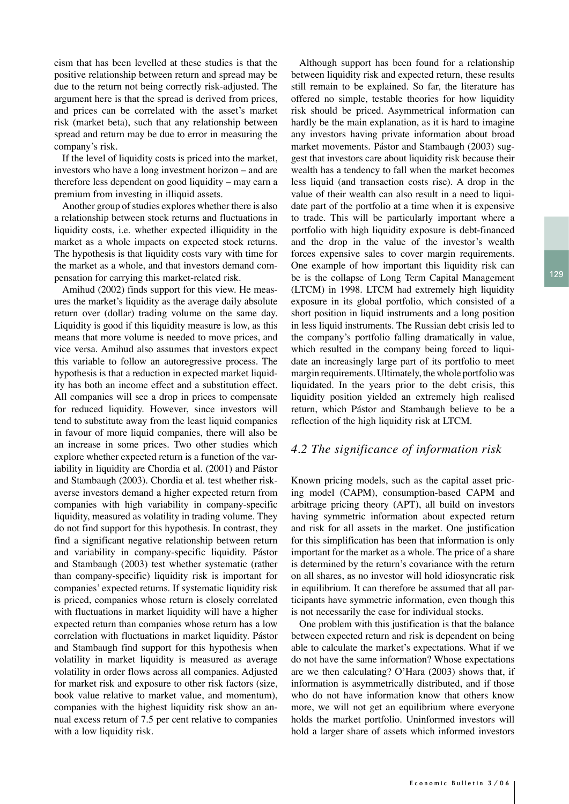129

cism that has been levelled at these studies is that the positive relationship between return and spread may be due to the return not being correctly risk-adjusted. The argument here is that the spread is derived from prices, and prices can be correlated with the asset's market risk (market beta), such that any relationship between spread and return may be due to error in measuring the company's risk.

If the level of liquidity costs is priced into the market, investors who have a long investment horizon – and are therefore less dependent on good liquidity – may earn a premium from investing in illiquid assets.

Another group of studies explores whether there is also a relationship between stock returns and fluctuations in liquidity costs, i.e. whether expected illiquidity in the market as a whole impacts on expected stock returns. The hypothesis is that liquidity costs vary with time for the market as a whole, and that investors demand compensation for carrying this market-related risk.

Amihud (2002) finds support for this view. He measures the market's liquidity as the average daily absolute return over (dollar) trading volume on the same day. Liquidity is good if this liquidity measure is low, as this means that more volume is needed to move prices, and vice versa. Amihud also assumes that investors expect this variable to follow an autoregressive process. The hypothesis is that a reduction in expected market liquidity has both an income effect and a substitution effect. All companies will see a drop in prices to compensate for reduced liquidity. However, since investors will tend to substitute away from the least liquid companies in favour of more liquid companies, there will also be an increase in some prices. Two other studies which explore whether expected return is a function of the variability in liquidity are Chordia et al. (2001) and Pástor and Stambaugh (2003). Chordia et al. test whether riskaverse investors demand a higher expected return from companies with high variability in company-specific liquidity, measured as volatility in trading volume. They do not find support for this hypothesis. In contrast, they find a significant negative relationship between return and variability in company-specific liquidity. Pástor and Stambaugh (2003) test whether systematic (rather than company-specific) liquidity risk is important for companies' expected returns. If systematic liquidity risk is priced, companies whose return is closely correlated with fluctuations in market liquidity will have a higher expected return than companies whose return has a low correlation with fluctuations in market liquidity. Pástor and Stambaugh find support for this hypothesis when volatility in market liquidity is measured as average volatility in order flows across all companies. Adjusted for market risk and exposure to other risk factors (size, book value relative to market value, and momentum), companies with the highest liquidity risk show an annual excess return of 7.5 per cent relative to companies with a low liquidity risk.

Although support has been found for a relationship between liquidity risk and expected return, these results still remain to be explained. So far, the literature has offered no simple, testable theories for how liquidity risk should be priced. Asymmetrical information can hardly be the main explanation, as it is hard to imagine any investors having private information about broad market movements. Pástor and Stambaugh (2003) suggest that investors care about liquidity risk because their wealth has a tendency to fall when the market becomes less liquid (and transaction costs rise). A drop in the value of their wealth can also result in a need to liquidate part of the portfolio at a time when it is expensive to trade. This will be particularly important where a portfolio with high liquidity exposure is debt-financed and the drop in the value of the investor's wealth forces expensive sales to cover margin requirements. One example of how important this liquidity risk can be is the collapse of Long Term Capital Management (LTCM) in 1998. LTCM had extremely high liquidity exposure in its global portfolio, which consisted of a short position in liquid instruments and a long position in less liquid instruments. The Russian debt crisis led to the company's portfolio falling dramatically in value, which resulted in the company being forced to liquidate an increasingly large part of its portfolio to meet margin requirements. Ultimately, the whole portfolio was liquidated. In the years prior to the debt crisis, this liquidity position yielded an extremely high realised return, which Pástor and Stambaugh believe to be a reflection of the high liquidity risk at LTCM.

#### *4.2 The significance of information risk*

Known pricing models, such as the capital asset pricing model (CAPM), consumption-based CAPM and arbitrage pricing theory (APT), all build on investors having symmetric information about expected return and risk for all assets in the market. One justification for this simplification has been that information is only important for the market as a whole. The price of a share is determined by the return's covariance with the return on all shares, as no investor will hold idiosyncratic risk in equilibrium. It can therefore be assumed that all participants have symmetric information, even though this is not necessarily the case for individual stocks.

One problem with this justification is that the balance between expected return and risk is dependent on being able to calculate the market's expectations. What if we do not have the same information? Whose expectations are we then calculating? O'Hara (2003) shows that, if information is asymmetrically distributed, and if those who do not have information know that others know more, we will not get an equilibrium where everyone holds the market portfolio. Uninformed investors will hold a larger share of assets which informed investors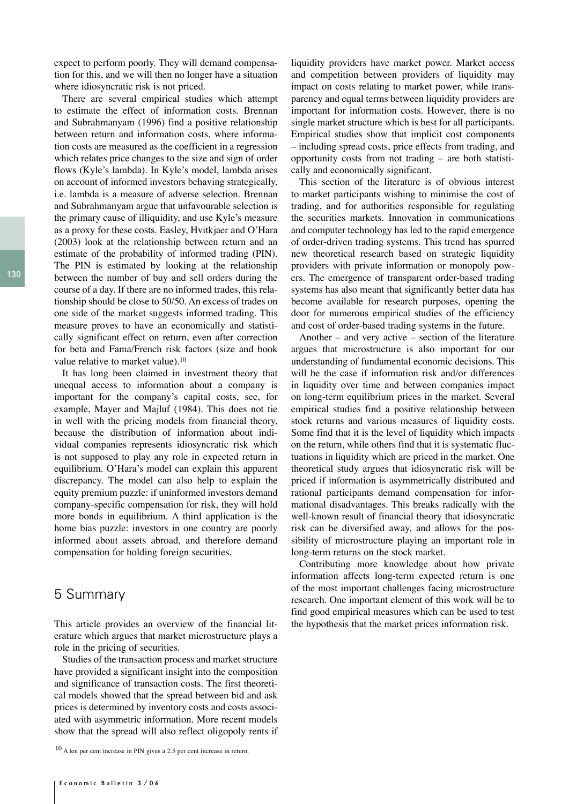expect to perform poorly. They will demand compensation for this, and we will then no longer have a situation where idiosyncratic risk is not priced.

There are several empirical studies which attempt to estimate the effect of information costs. Brennan and Subrahmanyam (1996) find a positive relationship between return and information costs, where information costs are measured as the coefficient in a regression which relates price changes to the size and sign of order flows (Kyle's lambda). In Kyle's model, lambda arises on account of informed investors behaving strategically, i.e. lambda is a measure of adverse selection. Brennan and Subrahmanyam argue that unfavourable selection is the primary cause of illiquidity, and use Kyle's measure as a proxy for these costs. Easley, Hvitkjaer and O'Hara (2003) look at the relationship between return and an estimate of the probability of informed trading (PIN). The PIN is estimated by looking at the relationship between the number of buy and sell orders during the course of a day. If there are no informed trades, this relationship should be close to 50/50. An excess of trades on one side of the market suggests informed trading. This measure proves to have an economically and statistically significant effect on return, even after correction for beta and Fama/French risk factors (size and book value relative to market value).10

It has long been claimed in investment theory that unequal access to information about a company is important for the company's capital costs, see, for example, Mayer and Majluf (1984). This does not tie in well with the pricing models from financial theory, because the distribution of information about individual companies represents idiosyncratic risk which is not supposed to play any role in expected return in equilibrium. O'Hara's model can explain this apparent discrepancy. The model can also help to explain the equity premium puzzle: if uninformed investors demand company-specific compensation for risk, they will hold more bonds in equilibrium. A third application is the home bias puzzle: investors in one country are poorly informed about assets abroad, and therefore demand compensation for holding foreign securities.

### 5 Summary

This article provides an overview of the financial literature which argues that market microstructure plays a role in the pricing of securities.

Studies of the transaction process and market structure have provided a significant insight into the composition and significance of transaction costs. The first theoretical models showed that the spread between bid and ask prices is determined by inventory costs and costs associated with asymmetric information. More recent models show that the spread will also reflect oligopoly rents if

10 A ten per cent increase in PIN gives a 2.5 per cent increase in return.

liquidity providers have market power. Market access and competition between providers of liquidity may impact on costs relating to market power, while transparency and equal terms between liquidity providers are important for information costs. However, there is no single market structure which is best for all participants. Empirical studies show that implicit cost components – including spread costs, price effects from trading, and opportunity costs from not trading – are both statistically and economically significant.

This section of the literature is of obvious interest to market participants wishing to minimise the cost of trading, and for authorities responsible for regulating the securities markets. Innovation in communications and computer technology has led to the rapid emergence of order-driven trading systems. This trend has spurred new theoretical research based on strategic liquidity providers with private information or monopoly powers. The emergence of transparent order-based trading systems has also meant that significantly better data has become available for research purposes, opening the door for numerous empirical studies of the efficiency and cost of order-based trading systems in the future.

Another – and very active – section of the literature argues that microstructure is also important for our understanding of fundamental economic decisions. This will be the case if information risk and/or differences in liquidity over time and between companies impact on long-term equilibrium prices in the market. Several empirical studies find a positive relationship between stock returns and various measures of liquidity costs. Some find that it is the level of liquidity which impacts on the return, while others find that it is systematic fluctuations in liquidity which are priced in the market. One theoretical study argues that idiosyncratic risk will be priced if information is asymmetrically distributed and rational participants demand compensation for informational disadvantages. This breaks radically with the well-known result of financial theory that idiosyncratic risk can be diversified away, and allows for the possibility of microstructure playing an important role in long-term returns on the stock market.

Contributing more knowledge about how private information affects long-term expected return is one of the most important challenges facing microstructure research. One important element of this work will be to find good empirical measures which can be used to test the hypothesis that the market prices information risk.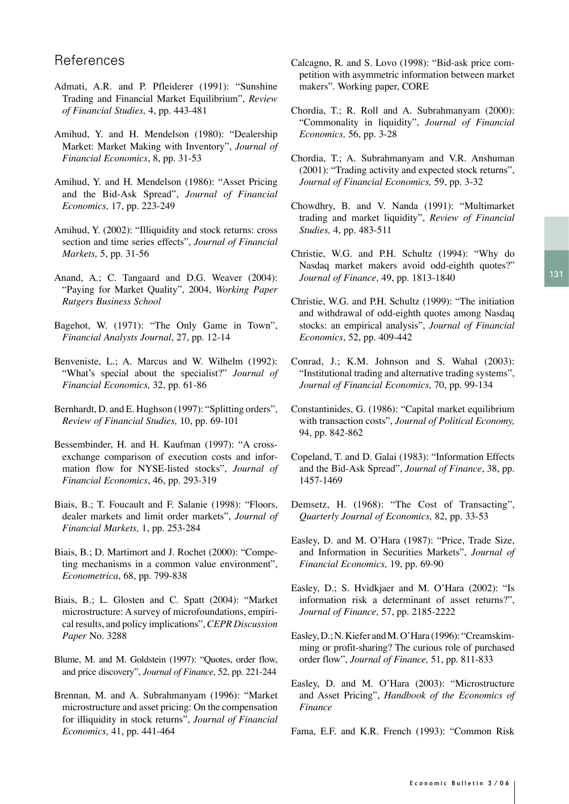# References

- Admati, A.R. and P. Pfleiderer (1991): "Sunshine Trading and Financial Market Equilibrium", *Review of Financial Studies,* 4, pp. 443-481
- Amihud, Y. and H. Mendelson (1980): "Dealership Market: Market Making with Inventory", *Journal of Financial Economics*, 8, pp. 31-53
- Amihud, Y. and H. Mendelson (1986): "Asset Pricing and the Bid-Ask Spread", *Journal of Financial Economics,* 17, pp. 223-249
- Amihud, Y. (2002): "Illiquidity and stock returns: cross section and time series effects", *Journal of Financial Markets,* 5, pp. 31-56
- Anand, A.; C. Tangaard and D.G. Weaver (2004): "Paying for Market Quality", 2004, *Working Paper Rutgers Business School*
- Bagehot, W. (1971): "The Only Game in Town", *Financial Analysts Journal*, 27, pp. 12-14
- Benveniste, L.; A. Marcus and W. Wilhelm (1992): "What's special about the specialist?" *Journal of Financial Economics,* 32, pp. 61-86
- Bernhardt, D. and E. Hughson (1997): "Splitting orders", *Review of Financial Studies,* 10, pp. 69-101
- Bessembinder, H. and H. Kaufman (1997): "A crossexchange comparison of execution costs and information flow for NYSE-listed stocks", *Journal of Financial Economics*, 46, pp. 293-319
- Biais, B.; T. Foucault and F. Salanie (1998): "Floors, dealer markets and limit order markets", *Journal of Financial Markets,* 1, pp. 253-284
- Biais, B.; D. Martimort and J. Rochet (2000): "Competing mechanisms in a common value environment", *Econometrica*, 68, pp. 799-838
- Biais, B.; L. Glosten and C. Spatt (2004): "Market microstructure: A survey of microfoundations, empirical results, and policy implications", *CEPR Discussion Paper* No. 3288
- Blume, M. and M. Goldstein (1997): "Quotes, order flow, and price discovery", *Journal of Finance,* 52, pp. 221-244
- Brennan, M. and A. Subrahmanyam (1996): "Market microstructure and asset pricing: On the compensation for illiquidity in stock returns", *Journal of Financial Economics,* 41, pp. 441-464
- Calcagno, R. and S. Lovo (1998): "Bid-ask price competition with asymmetric information between market makers". Working paper, CORE
- Chordia, T.; R. Roll and A. Subrahmanyam (2000): "Commonality in liquidity", *Journal of Financial Economics,* 56, pp. 3-28
- Chordia, T.; A. Subrahmanyam and V.R. Anshuman (2001): "Trading activity and expected stock returns", *Journal of Financial Economics,* 59, pp. 3-32
- Chowdhry, B. and V. Nanda (1991): "Multimarket trading and market liquidity", *Review of Financial Studies,* 4, pp. 483-511
- Christie, W.G. and P.H. Schultz (1994): "Why do Nasdaq market makers avoid odd-eighth quotes?" *Journal of Finance,* 49, pp. 1813-1840
- Christie, W.G. and P.H. Schultz (1999): "The initiation and withdrawal of odd-eighth quotes among Nasdaq stocks: an empirical analysis", *Journal of Financial Economics*, 52, pp. 409-442
- Conrad, J.; K.M. Johnson and S. Wahal (2003): "Institutional trading and alternative trading systems", *Journal of Financial Economics,* 70, pp. 99-134
- Constantinides, G. (1986): "Capital market equilibrium with transaction costs", *Journal of Political Economy,* 94, pp. 842-862
- Copeland, T. and D. Galai (1983): "Information Effects and the Bid-Ask Spread", *Journal of Finance*, 38, pp. 1457-1469
- Demsetz, H. (1968): "The Cost of Transacting", *Quarterly Journal of Economics,* 82, pp. 33-53
- Easley, D. and M. O'Hara (1987): "Price, Trade Size, and Information in Securities Markets", *Journal of Financial Economics,* 19, pp. 69-90
- Easley, D.; S. Hvidkjaer and M. O'Hara (2002): "Is information risk a determinant of asset returns?", *Journal of Finance,* 57, pp. 2185-2222
- Easley, D.; N. Kiefer and M. O'Hara (1996): "Creamskimming or profit-sharing? The curious role of purchased order flow", *Journal of Finance,* 51, pp. 811-833
- Easley, D. and M. O'Hara (2003): "Microstructure and Asset Pricing", *Handbook of the Economics of Finance*
- Fama, E.F. and K.R. French (1993): "Common Risk